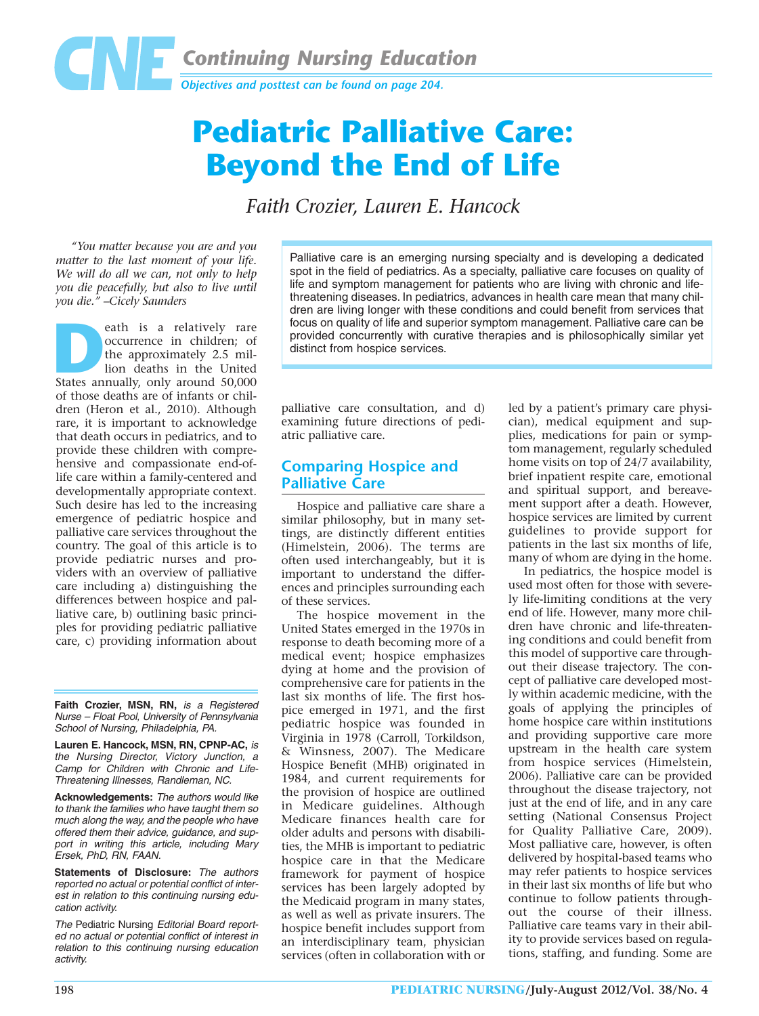

# **Pediatric Palliative Care: Beyond the End of Life**

*Faith Crozier, Lauren E. Hancock*

*"You matter because you are and you matter to the last moment of your life. We will do all we can, not only to help you die peacefully, but also to live until you die." –Cicely Saunders*

**Death is a relatively rare**<br>
occurrence in children; of<br>
the approximately 2.5 mil-<br>
lion deaths in the United<br>
States annually, only around 50,000 occurrence in children; of the approximately 2.5 million deaths in the United of those deaths are of infants or children (Heron et al., 2010). Although rare, it is important to acknowledge that death occurs in pediatrics, and to provide these children with comprehensive and compassionate end-oflife care within a family-centered and developmentally appropriate context. Such desire has led to the increasing emergence of pediatric hospice and palliative care services throughout the country. The goal of this article is to provide pediatric nurses and providers with an overview of palliative care including a) distinguishing the differences between hospice and palliative care, b) outlining basic principles for providing pediatric palliative care, c) providing information about

**Faith Crozier, MSN, RN,** is a Registered Nurse – Float Pool, University of Pennsylvania School of Nursing, Philadelphia, PA.

**Lauren E. Hancock, MSN, RN, CPNP-AC,** is the Nursing Director, Victory Junction, a Camp for Children with Chronic and Life-Threatening Illnesses, Randleman, NC.

**Acknowledgements:** The authors would like to thank the families who have taught them so much along the way, and the people who have offered them their advice, guidance, and support in writing this article, including Mary Ersek, PhD, RN, FAAN.

**Statements of Disclosure:** The authors reported no actual or potential conflict of interest in relation to this continuing nursing education activity.

The Pediatric Nursing Editorial Board reported no actual or potential conflict of interest in relation to this continuing nursing education activity.

Palliative care is an emerging nursing specialty and is developing a dedicated spot in the field of pediatrics. As a specialty, palliative care focuses on quality of life and symptom management for patients who are living with chronic and lifethreatening diseases. In pediatrics, advances in health care mean that many children are living longer with these conditions and could benefit from services that focus on quality of life and superior symptom management. Palliative care can be provided concurrently with curative therapies and is philosophically similar yet distinct from hospice services.

palliative care consultation, and d) examining future directions of pediatric palliative care.

## **Comparing Hospice and Palliative Care**

Hospice and palliative care share a similar philosophy, but in many settings, are distinctly different entities (Himelstein, 2006). The terms are often used interchangeably, but it is important to understand the differences and principles surrounding each of these services.

The hospice movement in the United States emerged in the 1970s in response to death becoming more of a medical event; hospice emphasizes dying at home and the provision of comprehensive care for patients in the last six months of life. The first hospice emerged in 1971, and the first pediatric hospice was founded in Virginia in 1978 (Carroll, Torkildson, & Winsness, 2007). The Medicare Hospice Benefit (MHB) originated in 1984, and current requirements for the provision of hospice are outlined in Medicare guidelines. Although Medicare finances health care for older adults and persons with disabilities, the MHB is important to pediatric hospice care in that the Medicare framework for payment of hospice services has been largely adopted by the Medicaid program in many states, as well as well as private insurers. The hospice benefit includes support from an interdisciplinary team, physician services (often in collaboration with or led by a patient's primary care physician), medical equipment and supplies, medications for pain or symptom management, regularly scheduled home visits on top of 24/7 availability, brief inpatient respite care, emotional and spiritual support, and bereavement support after a death. However, hospice services are limited by current guidelines to provide support for patients in the last six months of life, many of whom are dying in the home.

In pediatrics, the hospice model is used most often for those with severely life-limiting conditions at the very end of life. However, many more children have chronic and life-threatening conditions and could benefit from this model of supportive care throughout their disease trajectory. The concept of palliative care developed mostly within academic medicine, with the goals of applying the principles of home hospice care within institutions and providing supportive care more upstream in the health care system from hospice services (Himelstein, 2006). Palliative care can be provided throughout the disease trajectory, not just at the end of life, and in any care setting (National Consensus Project for Quality Palliative Care, 2009). Most palliative care, however, is often delivered by hospital-based teams who may refer patients to hospice services in their last six months of life but who continue to follow patients throughout the course of their illness. Palliative care teams vary in their ability to provide services based on regulations, staffing, and funding. Some are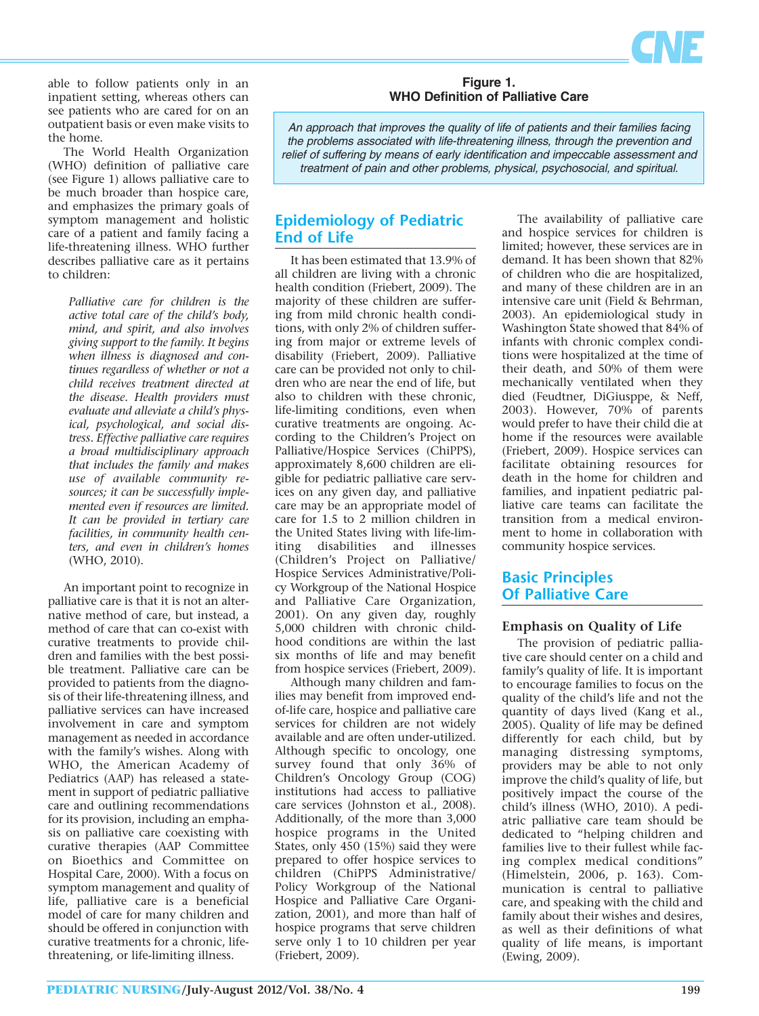

able to follow patients only in an inpatient setting, whereas others can see patients who are cared for on an outpatient basis or even make visits to the home.

The World Health Organization (WHO) definition of palliative care (see Figure 1) allows palliative care to be much broader than hospice care, and emphasizes the primary goals of symptom management and holistic care of a patient and family facing a life-threatening illness. WHO further describes palliative care as it pertains to children:

*Palliative care for children is the active total care of the child's body, mind, and spirit, and also involves giving support to the family. It begins when illness is diagnosed and continues regardless of whether or not a child receives treatment directed at the disease. Health providers must evaluate and alleviate a child's physical, psychological, and social distress. Effective palliative care requires a broad multidisciplinary approach that includes the family and makes use of available community re sources; it can be successfully implemented even if resources are limited. It can be provided in tertiary care facilities, in community health centers, and even in children's homes* (WHO, 2010).

An important point to recognize in palliative care is that it is not an alternative method of care, but instead, a method of care that can co-exist with curative treatments to provide children and families with the best possible treatment. Palliative care can be provided to patients from the diagnosis of their life-threatening illness, and palliative services can have increased involvement in care and symptom management as needed in accordance with the family's wishes. Along with WHO, the American Academy of Pediatrics (AAP) has released a statement in support of pediatric palliative care and outlining recommendations for its provision, including an emphasis on palliative care coexisting with curative therapies (AAP Committee on Bioethics and Committee on Hospital Care, 2000). With a focus on symptom management and quality of life, palliative care is a beneficial model of care for many children and should be offered in conjunction with curative treatments for a chronic, lifethreatening, or life-limiting illness.

#### **Figure 1. WHO Definition of Palliative Care**

An approach that improves the quality of life of patients and their families facing the problems associated with life-threatening illness, through the prevention and relief of suffering by means of early identification and impeccable assessment and treatment of pain and other problems, physical, psychosocial, and spiritual.

## **Epidemiology of Pediatric End of Life**

It has been estimated that 13.9% of all children are living with a chronic health condition (Friebert, 2009). The majority of these children are suffering from mild chronic health conditions, with only 2% of children suffering from major or extreme levels of disability (Friebert, 2009). Palliative care can be provided not only to children who are near the end of life, but also to children with these chronic, life-limiting conditions, even when curative treatments are ongoing. According to the Children's Project on Palliative/Hospice Services (ChiPPS), approximately 8,600 children are eligible for pediatric palliative care services on any given day, and palliative care may be an appropriate model of care for 1.5 to 2 million children in the United States living with life-limiting disabilities and illnesses (Children's Project on Palliative/ Hospice Services Administrative/Poli cy Workgroup of the National Hospice and Palliative Care Organization, 2001). On any given day, roughly 5,000 children with chronic childhood conditions are within the last six months of life and may benefit from hospice services (Friebert, 2009).

Although many children and families may benefit from improved endof-life care, hospice and palliative care services for children are not widely available and are often under-utilized. Although specific to oncology, one survey found that only 36% of Children's Oncology Group (COG) institutions had access to palliative care services (Johnston et al., 2008). Additionally, of the more than 3,000 hospice programs in the United States, only 450 (15%) said they were prepared to offer hospice services to children (ChiPPS Administrative/ Policy Workgroup of the National Hospice and Palliative Care Organization, 2001), and more than half of hospice programs that serve children serve only 1 to 10 children per year (Friebert, 2009).

The availability of palliative care and hospice services for children is limited; however, these services are in demand. It has been shown that 82% of children who die are hospitalized, and many of these children are in an intensive care unit (Field & Behrman, 2003). An epidemiological study in Washington State showed that 84% of infants with chronic complex conditions were hospitalized at the time of their death, and 50% of them were mechanically ventilated when they died (Feudtner, DiGiusppe, & Neff, 2003). However, 70% of parents would prefer to have their child die at home if the resources were available (Friebert, 2009). Hospice services can facilitate obtaining resources for death in the home for children and families, and inpatient pediatric palliative care teams can facilitate the transition from a medical environment to home in collaboration with community hospice services.

## **Basic Principles Of Palliative Care**

## **Emphasis on Quality of Life**

The provision of pediatric palliative care should center on a child and family's quality of life. It is important to encourage families to focus on the quality of the child's life and not the quantity of days lived (Kang et al., 2005). Quality of life may be defined differently for each child, but by managing distressing symptoms, providers may be able to not only improve the child's quality of life, but positively impact the course of the child's illness (WHO, 2010). A pediatric palliative care team should be dedicated to "helping children and families live to their fullest while facing complex medical conditions" (Himelstein, 2006, p. 163). Com munication is central to palliative care, and speaking with the child and family about their wishes and desires. as well as their definitions of what quality of life means, is important (Ewing, 2009).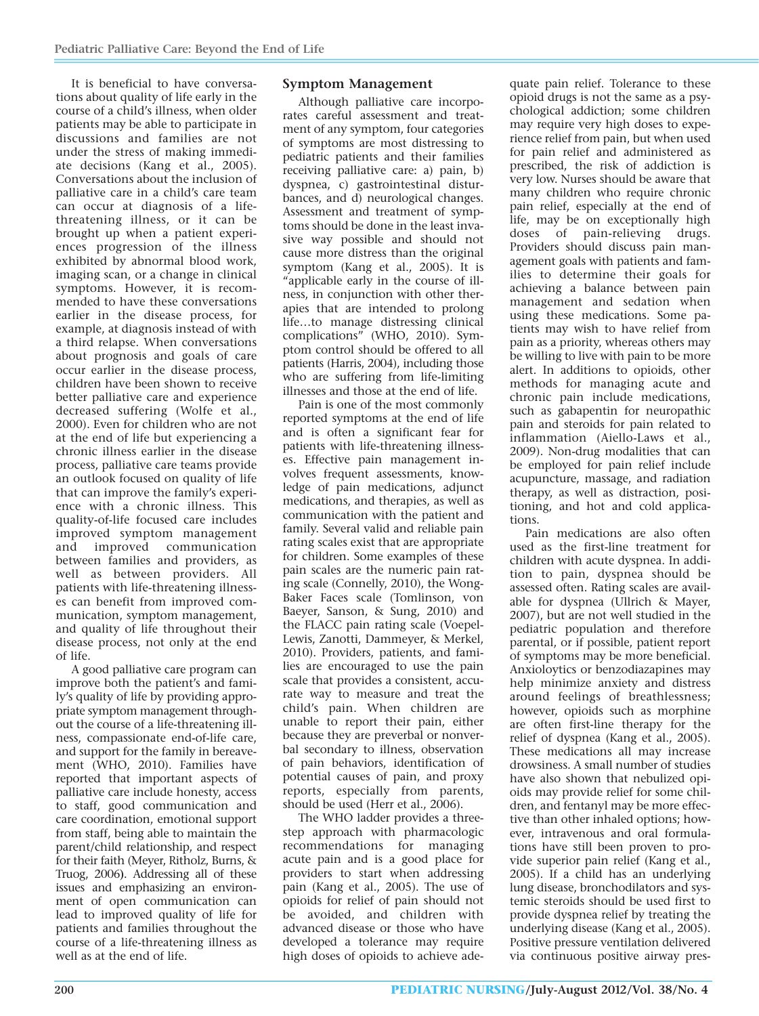It is beneficial to have conversations about quality of life early in the course of a child's illness, when older patients may be able to participate in discussions and families are not under the stress of making immediate decisions (Kang et al., 2005). Conversations about the inclusion of palliative care in a child's care team can occur at diagnosis of a lifethreatening illness, or it can be brought up when a patient experiences progression of the illness exhibited by abnormal blood work, imaging scan, or a change in clinical symptoms. However, it is recommended to have these conversations earlier in the disease process, for example, at diagnosis instead of with a third relapse. When conversations about prognosis and goals of care occur earlier in the disease process, children have been shown to receive better palliative care and experience decreased suffering (Wolfe et al., 2000). Even for children who are not at the end of life but experiencing a chronic illness earlier in the disease process, palliative care teams provide an outlook focused on quality of life that can improve the family's experience with a chronic illness. This quality-of-life focused care includes improved symptom management and improved communication between families and providers, as well as between providers. All patients with life-threatening illnesses can benefit from improved communication, symptom management, and quality of life throughout their disease process, not only at the end of life.

A good palliative care program can improve both the patient's and family's quality of life by providing appropriate symptom management throughout the course of a life-threatening illness, compassionate end-of-life care, and support for the family in bereavement (WHO, 2010). Families have reported that important aspects of palliative care include honesty, access to staff, good communication and care coordination, emotional support from staff, being able to maintain the parent/child relationship, and respect for their faith (Meyer, Ritholz, Burns, & Truog, 2006). Addressing all of these issues and emphasizing an environment of open communication can lead to improved quality of life for patients and families throughout the course of a life-threatening illness as well as at the end of life.

## **Symptom Management**

Although palliative care incorporates careful assessment and treatment of any symptom, four categories of symptoms are most distressing to pediatric patients and their families receiving palliative care: a) pain, b) dyspnea, c) gastrointestinal disturbances, and d) neurological changes. Assessment and treatment of symptoms should be done in the least invasive way possible and should not cause more distress than the original symptom (Kang et al., 2005). It is "applicable early in the course of illness, in conjunction with other therapies that are intended to prolong life…to manage distressing clinical complications" (WHO, 2010). Symptom control should be offered to all patients (Harris, 2004), including those who are suffering from life-limiting illnesses and those at the end of life.

Pain is one of the most commonly reported symptoms at the end of life and is often a significant fear for patients with life-threatening illnesses. Effective pain management involves frequent assessments, knowledge of pain medications, adjunct medications, and therapies, as well as communication with the patient and family. Several valid and reliable pain rating scales exist that are appropriate for children. Some examples of these pain scales are the numeric pain rating scale (Connelly, 2010), the Wong-Baker Faces scale (Tomlinson, von Baeyer, Sanson, & Sung, 2010) and the FLACC pain rating scale (Voepel-Lewis, Zanotti, Dammeyer, & Merkel, 2010). Providers, patients, and families are encouraged to use the pain scale that provides a consistent, accurate way to measure and treat the child's pain. When children are unable to report their pain, either because they are preverbal or nonverbal secondary to illness, observation of pain behaviors, identification of potential causes of pain, and proxy reports, especially from parents, should be used (Herr et al., 2006).

The WHO ladder provides a threestep approach with pharmacologic recommendations for managing acute pain and is a good place for providers to start when addressing pain (Kang et al., 2005). The use of opioids for relief of pain should not be avoided, and children with advanced disease or those who have developed a tolerance may require high doses of opioids to achieve ade-

quate pain relief. Tolerance to these opioid drugs is not the same as a psychological addiction; some children may require very high doses to experience relief from pain, but when used for pain relief and administered as prescribed, the risk of addiction is very low. Nurses should be aware that many children who require chronic pain relief, especially at the end of life, may be on exceptionally high doses of pain-relieving drugs. Providers should discuss pain management goals with patients and families to determine their goals for achieving a balance between pain management and sedation when using these medications. Some patients may wish to have relief from pain as a priority, whereas others may be willing to live with pain to be more alert. In additions to opioids, other methods for managing acute and chronic pain include medications, such as gabapentin for neuropathic pain and steroids for pain related to inflammation (Aiello-Laws et al., 2009). Non-drug modalities that can be employed for pain relief include acupuncture, massage, and radiation therapy, as well as distraction, positioning, and hot and cold applications.

Pain medications are also often used as the first-line treatment for children with acute dyspnea. In addition to pain, dyspnea should be assessed often. Rating scales are available for dyspnea (Ullrich & Mayer, 2007), but are not well studied in the pediatric population and therefore parental, or if possible, patient report of symptoms may be more beneficial. Anxioloytics or benzodiazapines may help minimize anxiety and distress around feelings of breathlessness; however, opioids such as morphine are often first-line therapy for the relief of dyspnea (Kang et al., 2005). These medications all may increase drowsiness. A small number of studies have also shown that nebulized opioids may provide relief for some children, and fentanyl may be more effective than other inhaled options; however, intravenous and oral formulations have still been proven to provide superior pain relief (Kang et al., 2005). If a child has an underlying lung disease, bronchodilators and systemic steroids should be used first to provide dyspnea relief by treating the underlying disease (Kang et al., 2005). Positive pressure ventilation delivered via continuous positive airway pres-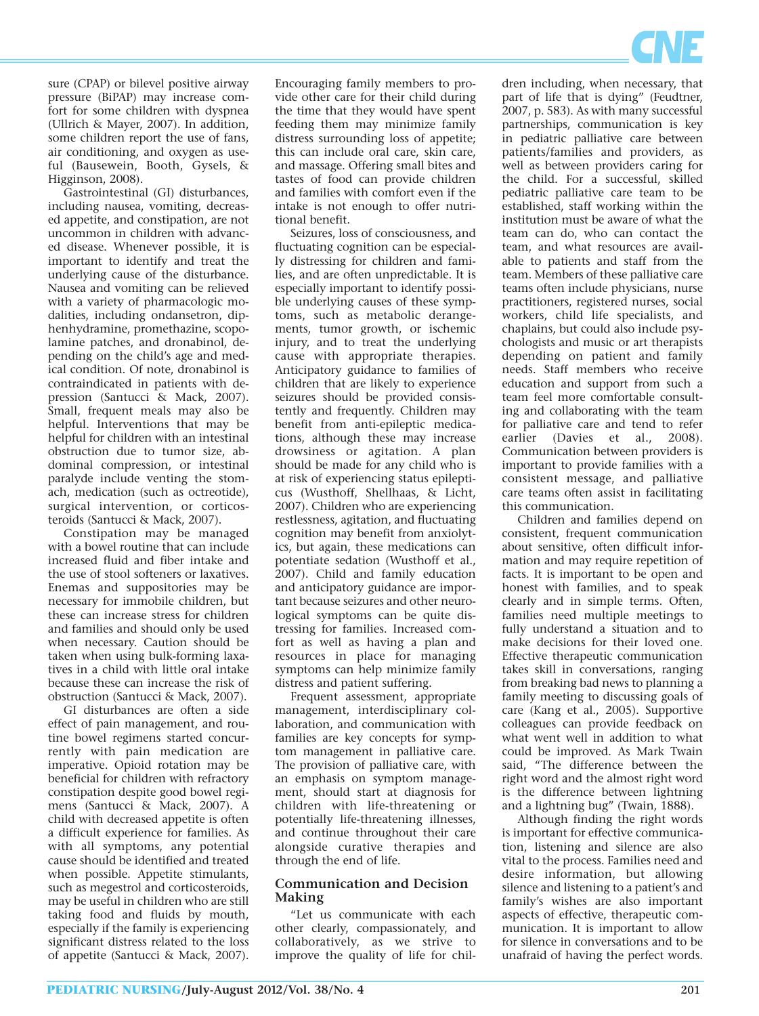

sure (CPAP) or bilevel positive airway pressure (BiPAP) may increase comfort for some children with dyspnea (Ullrich & Mayer, 2007). In addition, some children report the use of fans, air conditioning, and oxygen as useful (Bausewein, Booth, Gysels, & Higginson, 2008).

Gastrointestinal (GI) disturbances, including nausea, vomiting, decreased appetite, and constipation, are not uncommon in children with advanced disease. Whenever possible, it is important to identify and treat the underlying cause of the disturbance. Nausea and vomiting can be relieved with a variety of pharmacologic modalities, including ondansetron, diphenhydramine, promethazine, scopolamine patches, and dronabinol, depending on the child's age and medical condition. Of note, dronabinol is contraindicated in patients with depression (Santucci & Mack, 2007). Small, frequent meals may also be helpful. Interventions that may be helpful for children with an intestinal obstruction due to tumor size, abdominal compression, or intestinal paralyde include venting the stomach, medication (such as octreotide), surgical intervention, or corticosteroids (Santucci & Mack, 2007).

Constipation may be managed with a bowel routine that can include increased fluid and fiber intake and the use of stool softeners or laxatives. Enemas and suppositories may be necessary for immobile children, but these can increase stress for children and families and should only be used when necessary. Caution should be taken when using bulk-forming laxatives in a child with little oral intake because these can increase the risk of obstruction (Santucci & Mack, 2007).

GI disturbances are often a side effect of pain management, and routine bowel regimens started concurrently with pain medication are imperative. Opioid rotation may be beneficial for children with refractory constipation despite good bowel regimens (Santucci & Mack, 2007). A child with decreased appetite is often a difficult experience for families. As with all symptoms, any potential cause should be identified and treated when possible. Appetite stimulants, such as megestrol and corticosteroids, may be useful in children who are still taking food and fluids by mouth, especially if the family is experiencing significant distress related to the loss of appetite (Santucci & Mack, 2007).

Encouraging family members to provide other care for their child during the time that they would have spent feeding them may minimize family distress surrounding loss of appetite; this can include oral care, skin care, and massage. Offering small bites and tastes of food can provide children and families with comfort even if the intake is not enough to offer nutritional benefit.

Seizures, loss of consciousness, and fluctuating cognition can be especially distressing for children and families, and are often unpredictable. It is especially important to identify possible underlying causes of these symptoms, such as metabolic derangements, tumor growth, or ischemic injury, and to treat the underlying cause with appropriate therapies. Anticipatory guidance to families of children that are likely to experience seizures should be provided consistently and frequently. Children may benefit from anti-epileptic medications, although these may increase drowsiness or agitation. A plan should be made for any child who is at risk of experiencing status epilepticus (Wusthoff, Shellhaas, & Licht, 2007). Children who are experiencing restlessness, agitation, and fluctuating cognition may benefit from anxiolytics, but again, these medications can potentiate sedation (Wusthoff et al., 2007). Child and family education and anticipatory guidance are important because seizures and other neurological symptoms can be quite distressing for families. Increased comfort as well as having a plan and resources in place for managing symptoms can help minimize family distress and patient suffering.

Frequent assessment, appropriate management, interdisciplinary collaboration, and communication with families are key concepts for symptom management in palliative care. The provision of palliative care, with an emphasis on symptom management, should start at diagnosis for children with life-threatening or potentially life-threatening illnesses, and continue throughout their care alongside curative therapies and through the end of life.

#### **Communication and Decision Making**

"Let us communicate with each other clearly, compassionately, and collaboratively, as we strive to improve the quality of life for children including, when necessary, that part of life that is dying" (Feudtner, 2007, p. 583). As with many successful partnerships, communication is key in pediatric palliative care between patients/families and providers, as well as between providers caring for the child. For a successful, skilled pediatric palliative care team to be established, staff working within the institution must be aware of what the team can do, who can contact the team, and what resources are available to patients and staff from the team. Members of these palliative care teams often include physicians, nurse practitioners, registered nurses, social workers, child life specialists, and chaplains, but could also include psychologists and music or art therapists depending on patient and family needs. Staff members who receive education and support from such a team feel more comfortable consulting and collaborating with the team for palliative care and tend to refer<br>earlier (Davies et al., 2008).  $(Davies et al., 2008).$ Communication between providers is important to provide families with a consistent message, and palliative care teams often assist in facilitating this communication.

Children and families depend on consistent, frequent communication about sensitive, often difficult information and may require repetition of facts. It is important to be open and honest with families, and to speak clearly and in simple terms. Often, families need multiple meetings to fully understand a situation and to make decisions for their loved one. Effective therapeutic communication takes skill in conversations, ranging from breaking bad news to planning a family meeting to discussing goals of care (Kang et al., 2005). Supportive colleagues can provide feedback on what went well in addition to what could be improved. As Mark Twain said, "The difference between the right word and the almost right word is the difference between lightning and a lightning bug" (Twain, 1888).

Although finding the right words is important for effective communication, listening and silence are also vital to the process. Families need and desire information, but allowing silence and listening to a patient's and family's wishes are also important aspects of effective, therapeutic communication. It is important to allow for silence in conversations and to be unafraid of having the perfect words.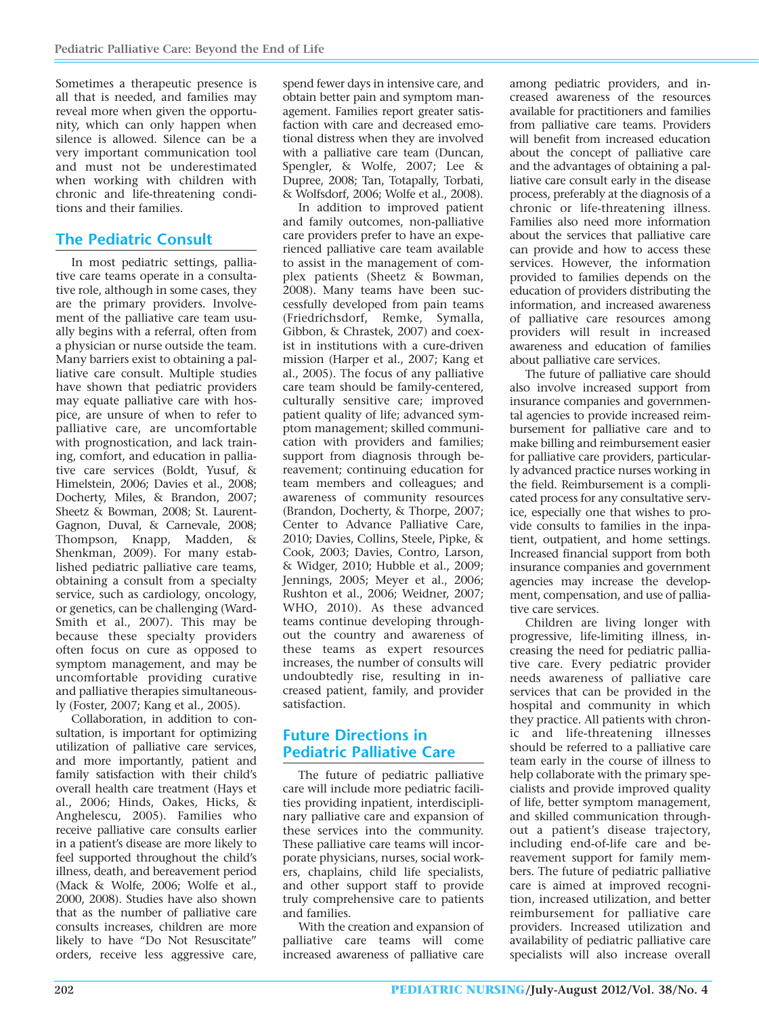Sometimes a therapeutic presence is all that is needed, and families may reveal more when given the opportunity, which can only happen when silence is allowed. Silence can be a very important communication tool and must not be underestimated when working with children with chronic and life-threatening conditions and their families.

## **The Pediatric Consult**

In most pediatric settings, palliative care teams operate in a consultative role, although in some cases, they are the primary providers. Involvement of the palliative care team usually begins with a referral, often from a physician or nurse outside the team. Many barriers exist to obtaining a palliative care consult. Multiple studies have shown that pediatric providers may equate palliative care with hospice, are unsure of when to refer to palliative care, are uncomfortable with prognostication, and lack training, comfort, and education in palliative care services (Boldt, Yusuf, & Himelstein, 2006; Davies et al., 2008; Docherty, Miles, & Brandon, 2007; Sheetz & Bowman, 2008; St. Laurent-Gagnon, Duval, & Carnevale, 2008; Thompson, Knapp, Madden, & Shenkman, 2009). For many established pediatric palliative care teams, obtaining a consult from a specialty service, such as cardiology, oncology, or genetics, can be challenging (Ward-Smith et al., 2007). This may be because these specialty providers often focus on cure as opposed to symptom management, and may be uncomfortable providing curative and palliative therapies simultaneously (Foster, 2007; Kang et al., 2005).

Collaboration, in addition to consultation, is important for optimizing utilization of palliative care services, and more importantly, patient and family satisfaction with their child's overall health care treatment (Hays et al., 2006; Hinds, Oakes, Hicks, & Anghelescu, 2005). Families who receive palliative care consults earlier in a patient's disease are more likely to feel supported throughout the child's illness, death, and bereavement period (Mack & Wolfe, 2006; Wolfe et al., 2000, 2008). Studies have also shown that as the number of palliative care consults increases, children are more likely to have "Do Not Resuscitate" orders, receive less aggressive care,

spend fewer days in intensive care, and obtain better pain and symptom management. Families report greater satisfaction with care and decreased emotional distress when they are involved with a palliative care team (Duncan, Spengler, & Wolfe, 2007; Lee & Dupree, 2008; Tan, Totapally, Torbati, & Wolfsdorf, 2006; Wolfe et al., 2008).

In addition to improved patient and family outcomes, non-palliative care providers prefer to have an experienced palliative care team available to assist in the management of complex patients (Sheetz & Bowman, 2008). Many teams have been successfully developed from pain teams (Friedrichsdorf, Remke, Symalla, Gibbon, & Chrastek, 2007) and coexist in institutions with a cure-driven mission (Harper et al., 2007; Kang et al., 2005). The focus of any palliative care team should be family-centered, culturally sensitive care; improved patient quality of life; advanced symptom management; skilled communication with providers and families; support from diagnosis through bereavement; continuing education for team members and colleagues; and awareness of community resources (Brandon, Docherty, & Thorpe, 2007; Center to Advance Palliative Care, 2010; Davies, Collins, Steele, Pipke, & Cook, 2003; Davies, Contro, Larson, & Widger, 2010; Hubble et al., 2009; Jennings, 2005; Meyer et al., 2006; Rushton et al., 2006; Weidner, 2007; WHO, 2010). As these advanced teams continue developing throughout the country and awareness of these teams as expert resources increases, the number of consults will undoubtedly rise, resulting in increased patient, family, and provider satisfaction.

# **Future Directions in Pediatric Palliative Care**

The future of pediatric palliative care will include more pediatric facilities providing inpatient, interdisciplinary palliative care and expansion of these services into the community. These palliative care teams will incorporate physicians, nurses, social workers, chaplains, child life specialists, and other support staff to provide truly comprehensive care to patients and families.

With the creation and expansion of palliative care teams will come increased awareness of palliative care

among pediatric providers, and increased awareness of the resources available for practitioners and families from palliative care teams. Providers will benefit from increased education about the concept of palliative care and the advantages of obtaining a palliative care consult early in the disease process, preferably at the diagnosis of a chronic or life-threatening illness. Families also need more information about the services that palliative care can provide and how to access these services. However, the information provided to families depends on the education of providers distributing the information, and increased awareness of palliative care resources among providers will result in increased awareness and education of families about palliative care services.

The future of palliative care should also involve increased support from insurance companies and governmental agencies to provide increased reimbursement for palliative care and to make billing and reimbursement easier for palliative care providers, particularly advanced practice nurses working in the field. Reimbursement is a complicated process for any consultative service, especially one that wishes to provide consults to families in the inpatient, outpatient, and home settings. Increased financial support from both insurance companies and government agencies may increase the development, compensation, and use of palliative care services.

Children are living longer with progressive, life-limiting illness, in creasing the need for pediatric palliative care. Every pediatric provider needs awareness of palliative care services that can be provided in the hospital and community in which they practice. All patients with chronic and life-threatening illnesses should be referred to a palliative care team early in the course of illness to help collaborate with the primary specialists and provide improved quality of life, better symptom management, and skilled communication throughout a patient's disease trajectory, including end-of-life care and bereavement support for family members. The future of pediatric palliative care is aimed at improved recognition, increased utilization, and better reimbursement for palliative care providers. Increased utilization and availability of pediatric palliative care specialists will also increase overall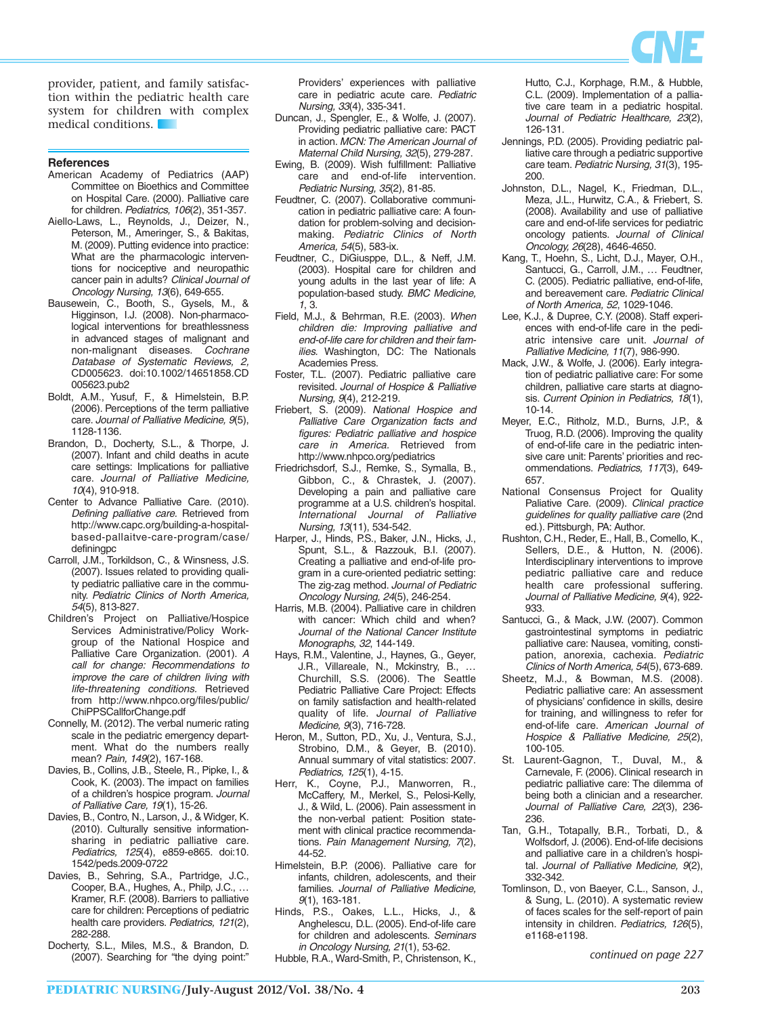

provider, patient, and family satisfaction within the pediatric health care system for children with complex medical conditions.

#### **References**

- American Academy of Pediatrics (AAP) Committee on Bioethics and Committee on Hospital Care. (2000). Palliative care for children. Pediatrics, 106(2), 351-357.
- Aiello-Laws, L., Reynolds, J., Deizer, N., Peterson, M., Ameringer, S., & Bakitas, M. (2009). Putting evidence into practice: What are the pharmacologic interventions for nociceptive and neuropathic cancer pain in adults? Clinical Journal of Oncology Nursing, 13(6), 649-655.
- Bausewein, C., Booth, S., Gysels, M., & Higginson, I.J. (2008). Non-pharmacological interventions for breathlessness in advanced stages of malignant and non-malignant diseases. Cochrane Database of Systematic Reviews, 2, CD005623. doi:10.1002/14651858.CD 005623.pub2
- Boldt, A.M., Yusuf, F., & Himelstein, B.P. (2006). Perceptions of the term palliative care. Journal of Palliative Medicine, 9(5), 1128-1136.
- Brandon, D., Docherty, S.L., & Thorpe, J. (2007). Infant and child deaths in acute care settings: Implications for palliative care. Journal of Palliative Medicine, 10(4), 910-918.
- Center to Advance Palliative Care. (2010). Defining palliative care. Retrieved from http://www.capc.org/building-a-hospitalbased-pallaitve-care-program/case/ definingpc
- Carroll, J.M., Torkildson, C., & Winsness, J.S. (2007). Issues related to providing quality pediatric palliative care in the community. Pediatric Clinics of North America, 54(5), 813-827.
- Children's Project on Palliative/Hospice Services Administrative/Policy Workgroup of the National Hospice and Palliative Care Organization. (2001). A call for change: Recommendations to improve the care of children living with life-threatening conditions. Retrieved from http://www.nhpco.org/files/public/ ChiPPSCallforChange.pdf
- Connelly, M. (2012). The verbal numeric rating scale in the pediatric emergency department. What do the numbers really mean? Pain, 149(2), 167-168.
- Davies, B., Collins, J.B., Steele, R., Pipke, I., & Cook, K. (2003). The impact on families of a children's hospice program. Journal of Palliative Care, 19(1), 15-26.
- Davies, B., Contro, N., Larson, J., & Widger, K. (2010). Culturally sensitive informationsharing in pediatric palliative care. Pediatrics, 125(4), e859-e865. doi:10. 1542/peds.2009-0722
- Davies, B., Sehring, S.A., Partridge, J.C., Cooper, B.A., Hughes, A., Philp, J.C., … Kramer, R.F. (2008). Barriers to palliative care for children: Perceptions of pediatric health care providers. Pediatrics, 121(2), 282-288.
- Docherty, S.L., Miles, M.S., & Brandon, D. (2007). Searching for "the dying point:"

Providers' experiences with palliative care in pediatric acute care. Pediatric Nursing, 33(4), 335-341.

- Duncan, J., Spengler, E., & Wolfe, J. (2007). Providing pediatric palliative care: PACT in action. MCN: The American Journal of Maternal Child Nursing, 32(5), 279-287.
- Ewing, B. (2009). Wish fulfillment: Palliative care and end-of-life intervention. Pediatric Nursing, 35(2), 81-85.
- Feudtner, C. (2007). Collaborative communication in pediatric palliative care: A foundation for problem-solving and decisionmaking. Pediatric Clinics of North America, 54(5), 583-ix.
- Feudtner, C., DiGiusppe, D.L., & Neff, J.M. (2003). Hospital care for children and young adults in the last year of life: A population-based study. BMC Medicine, 1, 3.
- Field, M.J., & Behrman, R.E. (2003). When children die: Improving palliative and end-of-life care for children and their families. Washington, DC: The Nationals Academies Press.
- Foster, T.L. (2007). Pediatric palliative care revisited. Journal of Hospice & Palliative Nursing, 9(4), 212-219.
- Friebert, S. (2009). National Hospice and Palliative Care Organization facts and figures: Pediatric palliative and hospice care in America. Retrieved from http://www.nhpco.org/pediatrics
- Friedrichsdorf, S.J., Remke, S., Symalla, B., Gibbon, C., & Chrastek, J. (2007). Developing a pain and palliative care programme at a U.S. children's hospital. International Journal of Palliative Nursing, 13(11), 534-542.
- Harper, J., Hinds, P.S., Baker, J.N., Hicks, J., Spunt, S.L., & Razzouk, B.I. (2007). Creating a palliative and end-of-life program in a cure-oriented pediatric setting: The zig-zag method. Journal of Pediatric Oncology Nursing, 24(5), 246-254.
- Harris, M.B. (2004). Palliative care in children with cancer: Which child and when? Journal of the National Cancer Institute Monographs, 32, 144-149.
- Hays, R.M., Valentine, J., Haynes, G., Geyer, J.R., Villareale, N., Mckinstry, B., … Churchill, S.S. (2006). The Seattle Pediatric Palliative Care Project: Effects on family satisfaction and health-related quality of life. Journal of Palliative Medicine, 9(3), 716-728.
- Heron, M., Sutton, P.D., Xu, J., Ventura, S.J., Strobino, D.M., & Geyer, B. (2010). Annual summary of vital statistics: 2007. Pediatrics, 125(1), 4-15.
- Herr, K., Coyne, P.J., Manworren, R., McCaffery, M., Merkel, S., Pelosi-Kelly, J., & Wild, L. (2006). Pain assessment in the non-verbal patient: Position statement with clinical practice recommendations. Pain Management Nursing, 7(2), 44-52.
- Himelstein, B.P. (2006). Palliative care for infants, children, adolescents, and their families. Journal of Palliative Medicine, 9(1), 163-181.
- Hinds, P.S., Oakes, L.L., Hicks, J., & Anghelescu, D.L. (2005). End-of-life care for children and adolescents. Seminars in Oncology Nursing, 21(1), 53-62.

Hubble, R.A., Ward-Smith, P., Christenson, K.,

Hutto, C.J., Korphage, R.M., & Hubble, C.L. (2009). Implementation of a palliative care team in a pediatric hospital. Journal of Pediatric Healthcare, 23(2), 126-131.

- Jennings, P.D. (2005). Providing pediatric palliative care through a pediatric supportive care team. Pediatric Nursing, 31(3), 195- 200.
- Johnston, D.L., Nagel, K., Friedman, D.L. Meza, J.L., Hurwitz, C.A., & Friebert, S. (2008). Availability and use of palliative care and end-of-life services for pediatric oncology patients. Journal of Clinical Oncology, 26(28), 4646-4650.
- Kang, T., Hoehn, S., Licht, D.J., Mayer, O.H., Santucci, G., Carroll, J.M., … Feudtner, C. (2005). Pediatric palliative, end-of-life, and bereavement care. Pediatric Clinical of North America, 52, 1029-1046.
- Lee, K.J., & Dupree, C.Y. (2008). Staff experiences with end-of-life care in the pediatric intensive care unit. Journal of Palliative Medicine, 11(7), 986-990.
- Mack, J.W., & Wolfe, J. (2006). Early integration of pediatric palliative care: For some children, palliative care starts at diagnosis. Current Opinion in Pediatrics, 18(1), 10-14.
- Meyer, E.C., Ritholz, M.D., Burns, J.P., & Truog, R.D. (2006). Improving the quality of end-of-life care in the pediatric intensive care unit: Parents' priorities and recommendations. Pediatrics, 117(3), 649- 657.
- National Consensus Project for Quality Paliative Care. (2009). Clinical practice guidelines for quality palliative care (2nd ed.). Pittsburgh, PA: Author.
- Rushton, C.H., Reder, E., Hall, B., Comello, K., Sellers, D.E., & Hutton, N. (2006). Interdisciplinary interventions to improve pediatric palliative care and reduce health care professional suffering. Journal of Palliative Medicine, 9(4), 922- 933.
- Santucci, G., & Mack, J.W. (2007). Common gastrointestinal symptoms in pediatric palliative care: Nausea, vomiting, constipation, anorexia, cachexia. Pediatric Clinics of North America, 54(5), 673-689.
- Sheetz, M.J., & Bowman, M.S. (2008). Pediatric palliative care: An assessment of physicians' confidence in skills, desire for training, and willingness to refer for end-of-life care. American Journal of Hospice & Palliative Medicine, 25(2), 100-105.
- St. Laurent-Gagnon, T., Duval, M., & Carnevale, F. (2006). Clinical research in pediatric palliative care: The dilemma of being both a clinician and a researcher. Journal of Palliative Care, 22(3), 236- 236.
- Tan, G.H., Totapally, B.R., Torbati, D., & Wolfsdorf, J. (2006). End-of-life decisions and palliative care in a children's hospital. Journal of Palliative Medicine, 9(2), 332-342.
- Tomlinson, D., von Baeyer, C.L., Sanson, J., & Sung, L. (2010). A systematic review of faces scales for the self-report of pain intensity in children. Pediatrics, 126(5), e1168-e1198.

*continued on page 227*